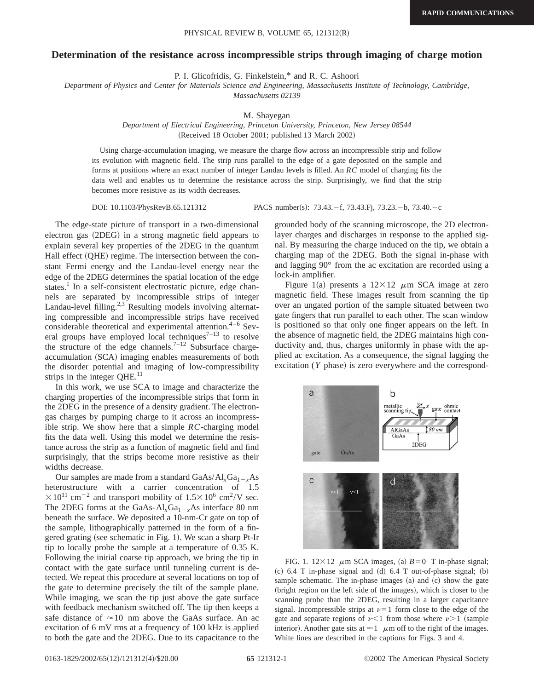## **Determination of the resistance across incompressible strips through imaging of charge motion**

P. I. Glicofridis, G. Finkelstein,\* and R. C. Ashoori

*Department of Physics and Center for Materials Science and Engineering, Massachusetts Institute of Technology, Cambridge,*

*Massachusetts 02139*

M. Shayegan

*Department of Electrical Engineering, Princeton University, Princeton, New Jersey 08544* (Received 18 October 2001; published 13 March 2002)

Using charge-accumulation imaging, we measure the charge flow across an incompressible strip and follow its evolution with magnetic field. The strip runs parallel to the edge of a gate deposited on the sample and forms at positions where an exact number of integer Landau levels is filled. An *RC* model of charging fits the data well and enables us to determine the resistance across the strip. Surprisingly, we find that the strip becomes more resistive as its width decreases.

DOI: 10.1103/PhysRevB.65.121312 PACS number(s): 73.43. - f, 73.43. Fj, 73.23. - b, 73.40. - c

The edge-state picture of transport in a two-dimensional electron gas (2DEG) in a strong magnetic field appears to explain several key properties of the 2DEG in the quantum Hall effect (QHE) regime. The intersection between the constant Fermi energy and the Landau-level energy near the edge of the 2DEG determines the spatial location of the edge states.<sup>1</sup> In a self-consistent electrostatic picture, edge channels are separated by incompressible strips of integer Landau-level filling.<sup>2,3</sup> Resulting models involving alternating compressible and incompressible strips have received considerable theoretical and experimental attention. $4-6$  Several groups have employed local techniques<sup> $7-13$ </sup> to resolve the structure of the edge channels.<sup>7–12</sup> Subsurface chargeaccumulation (SCA) imaging enables measurements of both the disorder potential and imaging of low-compressibility strips in the integer  $QHE$ .<sup>11</sup>

In this work, we use SCA to image and characterize the charging properties of the incompressible strips that form in the 2DEG in the presence of a density gradient. The electrongas charges by pumping charge to it across an incompressible strip. We show here that a simple *RC*-charging model fits the data well. Using this model we determine the resistance across the strip as a function of magnetic field and find surprisingly, that the strips become more resistive as their widths decrease.

Our samples are made from a standard  $GaAs/Al_xGa_{1-x}As$ heterostructure with a carrier concentration of 1.5  $\times 10^{11}$  cm<sup>-2</sup> and transport mobility of 1.5 $\times 10^{6}$  cm<sup>2</sup>/V sec. The 2DEG forms at the GaAs- $Al<sub>x</sub>Ga<sub>1-x</sub>As$  interface 80 nm beneath the surface. We deposited a 10-nm-Cr gate on top of the sample, lithographically patterned in the form of a fingered grating (see schematic in Fig. 1). We scan a sharp Pt-Ir tip to locally probe the sample at a temperature of 0.35 K. Following the initial coarse tip approach, we bring the tip in contact with the gate surface until tunneling current is detected. We repeat this procedure at several locations on top of the gate to determine precisely the tilt of the sample plane. While imaging, we scan the tip just above the gate surface with feedback mechanism switched off. The tip then keeps a safe distance of  $\approx$  10 nm above the GaAs surface. An ac excitation of 6 mV rms at a frequency of 100 kHz is applied to both the gate and the 2DEG. Due to its capacitance to the

grounded body of the scanning microscope, the 2D electronlayer charges and discharges in response to the applied signal. By measuring the charge induced on the tip, we obtain a charging map of the 2DEG. Both the signal in-phase with and lagging 90° from the ac excitation are recorded using a lock-in amplifier.

Figure 1(a) presents a  $12\times12$   $\mu$ m SCA image at zero magnetic field. These images result from scanning the tip over an ungated portion of the sample situated between two gate fingers that run parallel to each other. The scan window is positioned so that only one finger appears on the left. In the absence of magnetic field, the 2DEG maintains high conductivity and, thus, charges uniformly in phase with the applied ac excitation. As a consequence, the signal lagging the excitation (*Y* phase) is zero everywhere and the correspond-



FIG. 1.  $12 \times 12$   $\mu$ m SCA images, (a)  $B=0$  T in-phase signal;  $~c)$  6.4 T in-phase signal and  $~(d)$  6.4 T out-of-phase signal;  $~(b)$ sample schematic. The in-phase images  $(a)$  and  $(c)$  show the gate (bright region on the left side of the images), which is closer to the scanning probe than the 2DEG, resulting in a larger capacitance signal. Incompressible strips at  $\nu=1$  form close to the edge of the gate and separate regions of  $\nu < 1$  from those where  $\nu > 1$  (sample interior). Another gate sits at  $\approx 1$   $\mu$ m off to the right of the images. White lines are described in the captions for Figs. 3 and 4.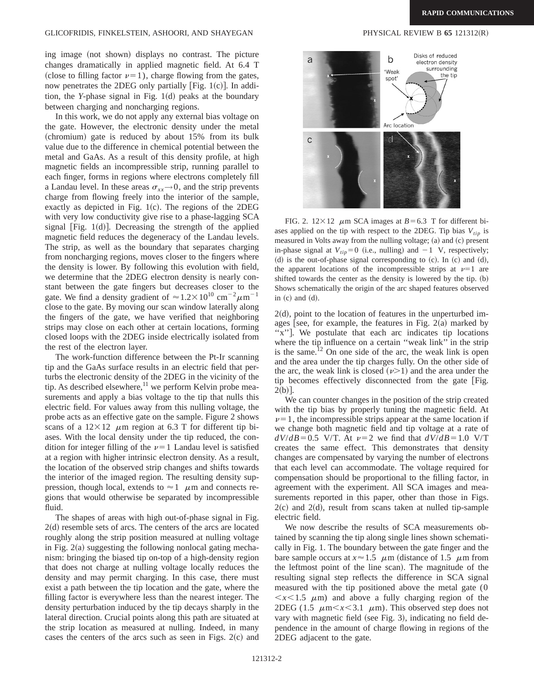## GLICOFRIDIS, FINKELSTEIN, ASHOORI, AND SHAYEGAN PHYSICAL REVIEW B 65 121312(R)

ing image (not shown) displays no contrast. The picture changes dramatically in applied magnetic field. At 6.4 T (close to filling factor  $\nu=1$ ), charge flowing from the gates, now penetrates the 2DEG only partially [Fig.  $1(c)$ ]. In addition, the *Y*-phase signal in Fig.  $1(d)$  peaks at the boundary between charging and noncharging regions.

In this work, we do not apply any external bias voltage on the gate. However, the electronic density under the metal  $(chromium)$  gate is reduced by about 15% from its bulk value due to the difference in chemical potential between the metal and GaAs. As a result of this density profile, at high magnetic fields an incompressible strip, running parallel to each finger, forms in regions where electrons completely fill a Landau level. In these areas  $\sigma_{xx} \rightarrow 0$ , and the strip prevents charge from flowing freely into the interior of the sample, exactly as depicted in Fig.  $1(c)$ . The regions of the 2DEG with very low conductivity give rise to a phase-lagging SCA signal  $|Fig. 1(d)|$ . Decreasing the strength of the applied magnetic field reduces the degeneracy of the Landau levels. The strip, as well as the boundary that separates charging from noncharging regions, moves closer to the fingers where the density is lower. By following this evolution with field, we determine that the 2DEG electron density is nearly constant between the gate fingers but decreases closer to the gate. We find a density gradient of  $\approx 1.2 \times 10^{10}$  cm<sup>-2</sup> $\mu$ m<sup>-1</sup> close to the gate. By moving our scan window laterally along the fingers of the gate, we have verified that neighboring strips may close on each other at certain locations, forming closed loops with the 2DEG inside electrically isolated from the rest of the electron layer.

The work-function difference between the Pt-Ir scanning tip and the GaAs surface results in an electric field that perturbs the electronic density of the 2DEG in the vicinity of the tip. As described elsewhere, $^{11}$  we perform Kelvin probe measurements and apply a bias voltage to the tip that nulls this electric field. For values away from this nulling voltage, the probe acts as an effective gate on the sample. Figure 2 shows scans of a  $12\times12$   $\mu$ m region at 6.3 T for different tip biases. With the local density under the tip reduced, the condition for integer filling of the  $\nu=1$  Landau level is satisfied at a region with higher intrinsic electron density. As a result, the location of the observed strip changes and shifts towards the interior of the imaged region. The resulting density suppression, though local, extends to  $\approx 1$   $\mu$ m and connects regions that would otherwise be separated by incompressible fluid.

The shapes of areas with high out-of-phase signal in Fig.  $2(d)$  resemble sets of arcs. The centers of the arcs are located roughly along the strip position measured at nulling voltage in Fig.  $2(a)$  suggesting the following nonlocal gating mechanism: bringing the biased tip on-top of a high-density region that does not charge at nulling voltage locally reduces the density and may permit charging. In this case, there must exist a path between the tip location and the gate, where the filling factor is everywhere less than the nearest integer. The density perturbation induced by the tip decays sharply in the lateral direction. Crucial points along this path are situated at the strip location as measured at nulling. Indeed, in many cases the centers of the arcs such as seen in Figs.  $2(c)$  and



FIG. 2.  $12 \times 12$   $\mu$ m SCA images at *B* = 6.3 T for different biases applied on the tip with respect to the 2DEG. Tip bias  $V_{tin}$  is measured in Volts away from the nulling voltage;  $(a)$  and  $(c)$  present in-phase signal at  $V_{tip} = 0$  (i.e., nulling) and  $-1$  V, respectively; (d) is the out-of-phase signal corresponding to  $(c)$ . In  $(c)$  and  $(d)$ , the apparent locations of the incompressible strips at  $\nu=1$  are shifted towards the center as the density is lowered by the tip.  $(b)$ Shows schematically the origin of the arc shaped features observed in  $(c)$  and  $(d)$ .

 $2(d)$ , point to the location of features in the unperturbed images [see, for example, the features in Fig.  $2(a)$  marked by "x". We postulate that each arc indicates tip locations where the tip influence on a certain "weak link" in the strip is the same.<sup>12</sup> On one side of the arc, the weak link is open and the area under the tip charges fully. On the other side of the arc, the weak link is closed  $(\nu>1)$  and the area under the tip becomes effectively disconnected from the gate [Fig.  $2(b)$ .

We can counter changes in the position of the strip created with the tip bias by properly tuning the magnetic field. At  $\nu=1$ , the incompressible strips appear at the same location if we change both magnetic field and tip voltage at a rate of  $dV/dB=0.5$  V/T. At  $\nu=2$  we find that  $dV/dB=1.0$  V/T creates the same effect. This demonstrates that density changes are compensated by varying the number of electrons that each level can accommodate. The voltage required for compensation should be proportional to the filling factor, in agreement with the experiment. All SCA images and measurements reported in this paper, other than those in Figs.  $2(c)$  and  $2(d)$ , result from scans taken at nulled tip-sample electric field.

We now describe the results of SCA measurements obtained by scanning the tip along single lines shown schematically in Fig. 1. The boundary between the gate finger and the bare sample occurs at  $x \approx 1.5$   $\mu$ m (distance of 1.5  $\mu$ m from the leftmost point of the line scan). The magnitude of the resulting signal step reflects the difference in SCA signal measured with the tip positioned above the metal gate (0  $\langle x \rangle$  (1.5  $\mu$ m) and above a fully charging region of the 2DEG (1.5  $\mu$ m $\lt x \lt 3.1$   $\mu$ m). This observed step does not vary with magnetic field (see Fig. 3), indicating no field dependence in the amount of charge flowing in regions of the 2DEG adjacent to the gate.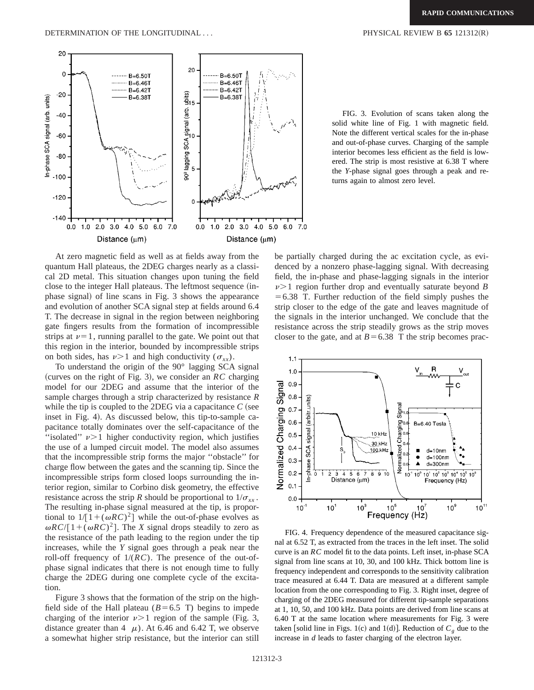DETERMINATION OF THE LONGITUDINAL . . . PHYSICAL REVIEW B **65** 121312~R!



FIG. 3. Evolution of scans taken along the solid white line of Fig. 1 with magnetic field. Note the different vertical scales for the in-phase and out-of-phase curves. Charging of the sample interior becomes less efficient as the field is lowered. The strip is most resistive at 6.38 T where the *Y*-phase signal goes through a peak and returns again to almost zero level.

At zero magnetic field as well as at fields away from the quantum Hall plateaus, the 2DEG charges nearly as a classical 2D metal. This situation changes upon tuning the field close to the integer Hall plateaus. The leftmost sequence (inphase signal) of line scans in Fig. 3 shows the appearance and evolution of another SCA signal step at fields around 6.4 T. The decrease in signal in the region between neighboring gate fingers results from the formation of incompressible strips at  $\nu=1$ , running parallel to the gate. We point out that this region in the interior, bounded by incompressible strips on both sides, has  $\nu > 1$  and high conductivity ( $\sigma_{xx}$ ).

To understand the origin of the 90° lagging SCA signal (curves on the right of Fig. 3), we consider an  $RC$  charging model for our 2DEG and assume that the interior of the sample charges through a strip characterized by resistance *R* while the tip is coupled to the 2DEG via a capacitance  $C$  (see inset in Fig. 4). As discussed below, this tip-to-sample capacitance totally dominates over the self-capacitance of the "isolated"  $\nu$  > 1 higher conductivity region, which justifies the use of a lumped circuit model. The model also assumes that the incompressible strip forms the major ''obstacle'' for charge flow between the gates and the scanning tip. Since the incompressible strips form closed loops surrounding the interior region, similar to Corbino disk geometry, the effective resistance across the strip *R* should be proportional to  $1/\sigma_{xx}$ . The resulting in-phase signal measured at the tip, is proportional to  $1/[1+(\omega RC)^2]$  while the out-of-phase evolves as  $\omega RC/[1+(\omega RC)^2]$ . The *X* signal drops steadily to zero as the resistance of the path leading to the region under the tip increases, while the *Y* signal goes through a peak near the roll-off frequency of 1/(*RC*). The presence of the out-ofphase signal indicates that there is not enough time to fully charge the 2DEG during one complete cycle of the excitation.

Figure 3 shows that the formation of the strip on the highfield side of the Hall plateau ( $B=6.5$  T) begins to impede charging of the interior  $\nu > 1$  region of the sample (Fig. 3, distance greater than 4  $\mu$ ). At 6.46 and 6.42 T, we observe a somewhat higher strip resistance, but the interior can still be partially charged during the ac excitation cycle, as evidenced by a nonzero phase-lagging signal. With decreasing field, the in-phase and phase-lagging signals in the interior  $\nu$  is region further drop and eventually saturate beyond *B*  $=6.38$  T. Further reduction of the field simply pushes the strip closer to the edge of the gate and leaves magnitude of the signals in the interior unchanged. We conclude that the resistance across the strip steadily grows as the strip moves closer to the gate, and at  $B=6.38$  T the strip becomes prac-



FIG. 4. Frequency dependence of the measured capacitance signal at 6.52 T, as extracted from the traces in the left inset. The solid curve is an *RC* model fit to the data points. Left inset, in-phase SCA signal from line scans at 10, 30, and 100 kHz. Thick bottom line is frequency independent and corresponds to the sensitivity calibration trace measured at 6.44 T. Data are measured at a different sample location from the one corresponding to Fig. 3. Right inset, degree of charging of the 2DEG measured for different tip-sample separations at 1, 10, 50, and 100 kHz. Data points are derived from line scans at 6.40 T at the same location where measurements for Fig. 3 were taken [solid line in Figs. 1(c) and 1(d)]. Reduction of  $C_g$  due to the increase in *d* leads to faster charging of the electron layer.